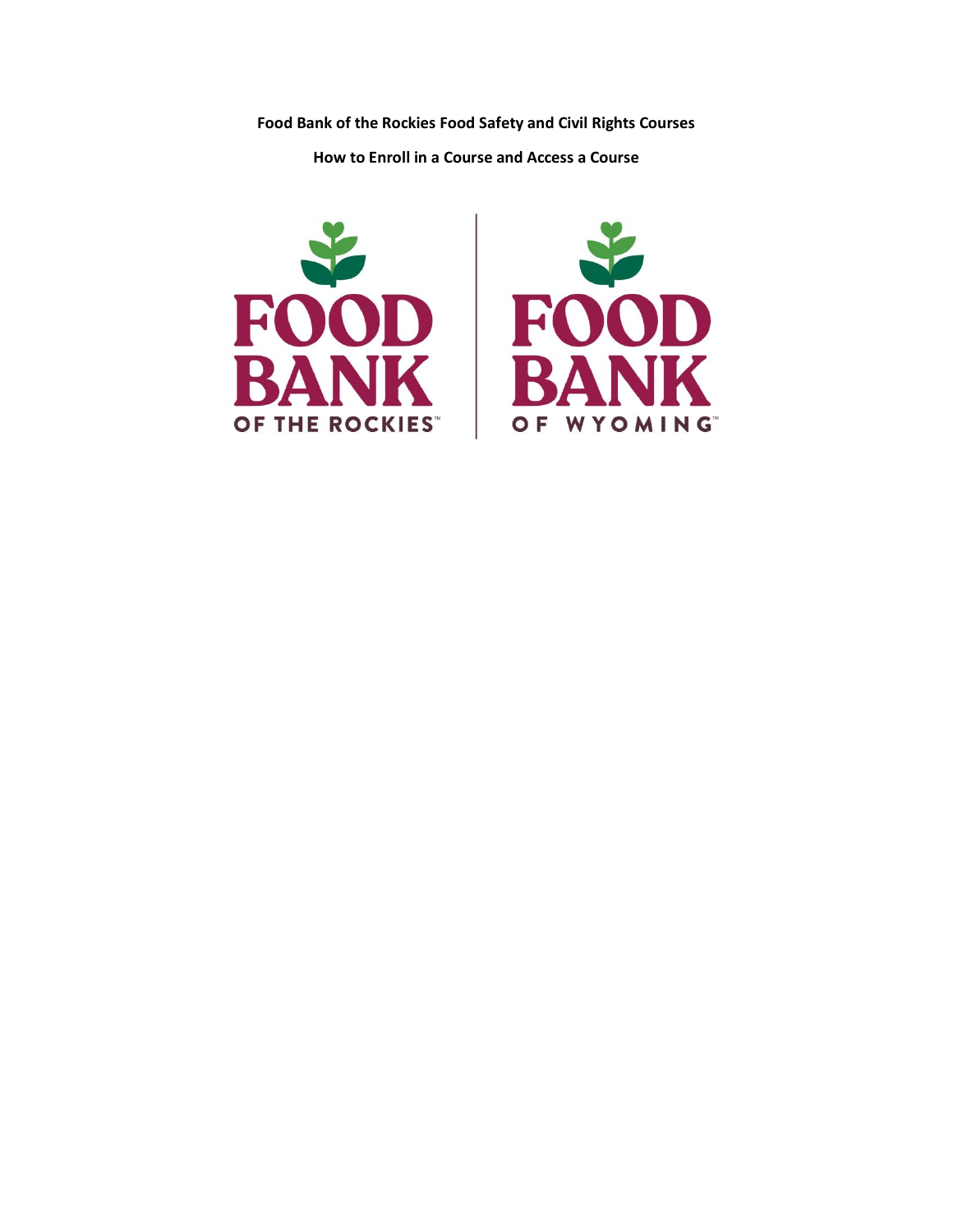**Food Bank of the Rockies Food Safety and Civil Rights Courses**

**How to Enroll in a Course and Access a Course**



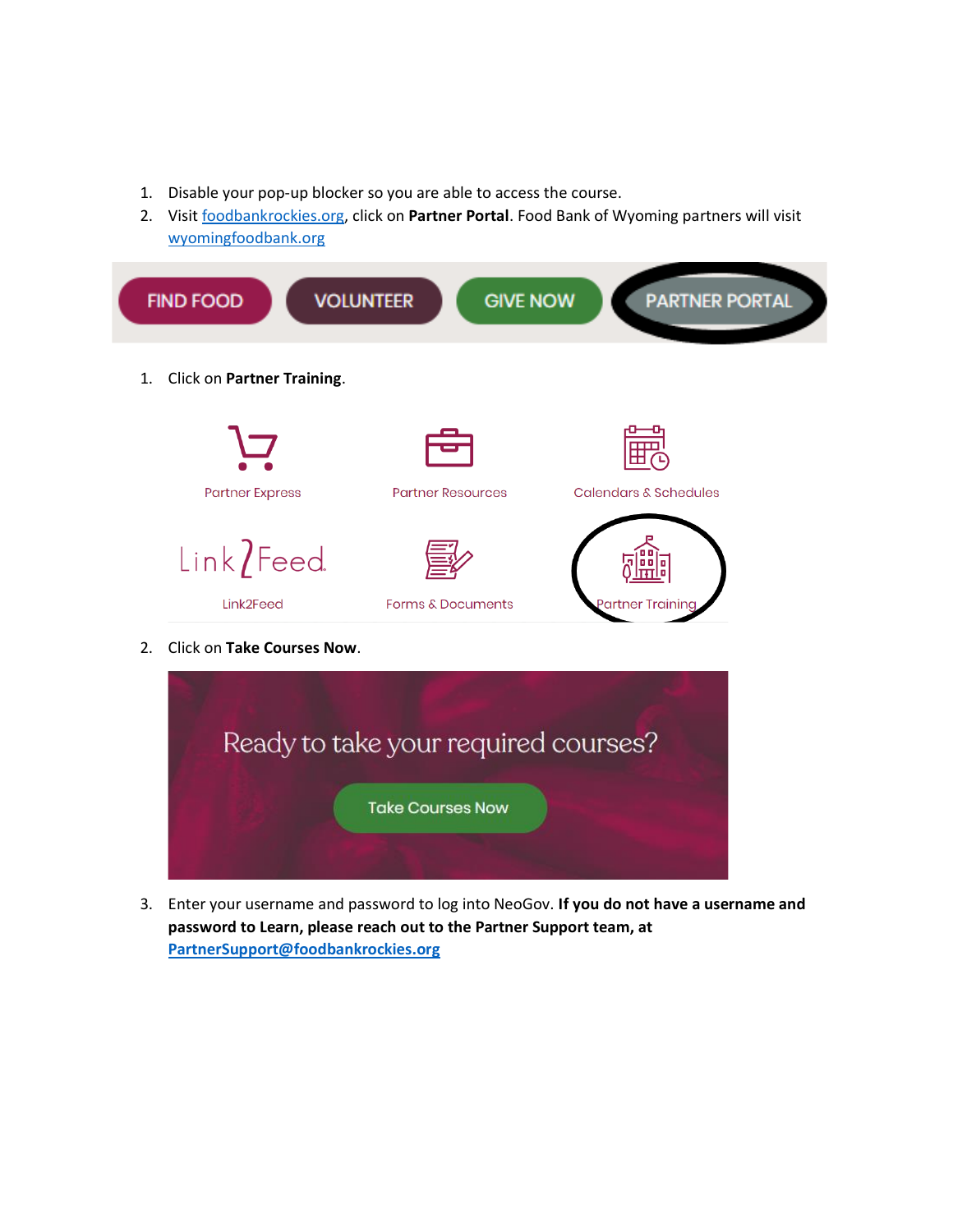- 1. Disable your pop-up blocker so you are able to access the course.
- 2. Visit [foodbankrockies.org,](https://www.foodbankrockies.org/) click on **Partner Portal**. Food Bank of Wyoming partners will visit [wyomingfoodbank.org](https://wyomingfoodbank.org/)





3. Enter your username and password to log into NeoGov. **If you do not have a username and password to Learn, please reach out to the Partner Support team, at [PartnerSupport@foodbankrockies.org](mailto:PartnerSupport@foodbankrockies.org)**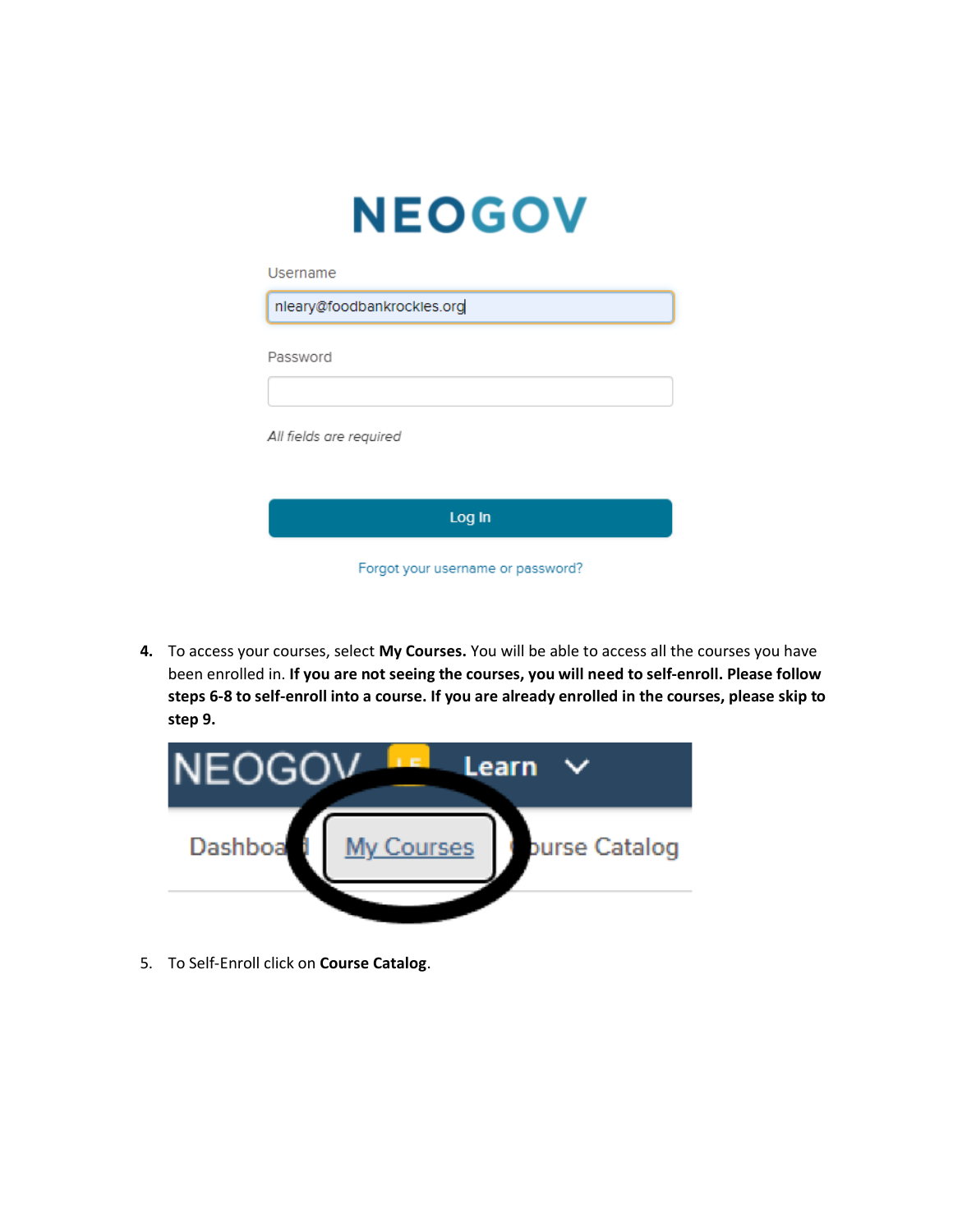| <b>NEOGO'</b>              |
|----------------------------|
| Username                   |
| nleary@foodbankrockles.org |
| Password                   |

All fields are required

| Log In                            |
|-----------------------------------|
| Forgot your username or password? |

**4.** To access your courses, select **My Courses.** You will be able to access all the courses you have been enrolled in. **If you are not seeing the courses, you will need to self-enroll. Please follow steps 6-8 to self-enroll into a course. If you are already enrolled in the courses, please skip to step 9.** 



5. To Self-Enroll click on **Course Catalog**.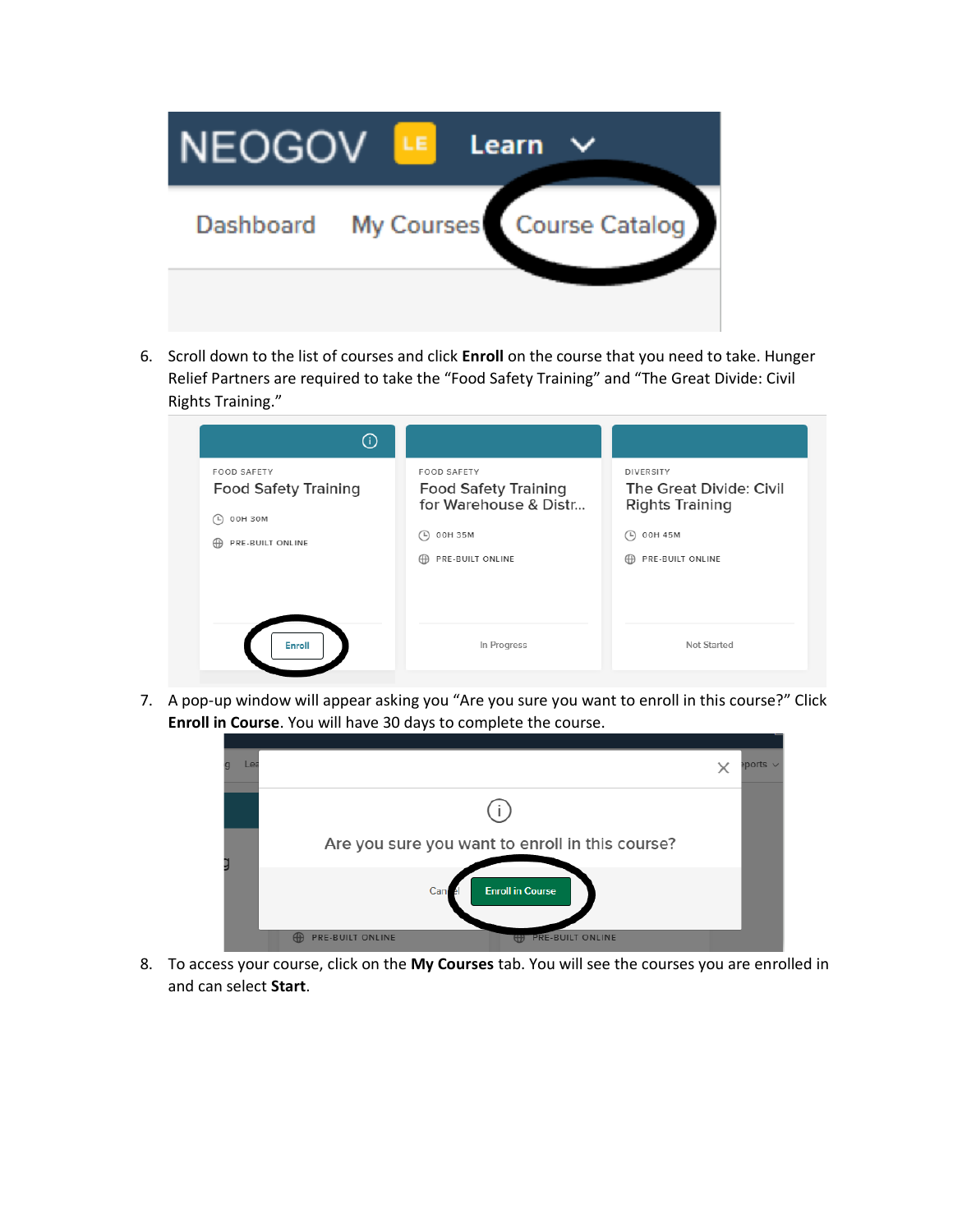

6. Scroll down to the list of courses and click **Enroll** on the course that you need to take. Hunger Relief Partners are required to take the "Food Safety Training" and "The Great Divide: Civil Rights Training."

| $\circ$                                                                                       |                                                                                                                          |                                                                                                                                                                    |
|-----------------------------------------------------------------------------------------------|--------------------------------------------------------------------------------------------------------------------------|--------------------------------------------------------------------------------------------------------------------------------------------------------------------|
| <b>FOOD SAFETY</b><br><b>Food Safety Training</b><br>00H 30M<br>( L)<br>PRE-BUILT ONLINE<br>⊕ | <b>FOOD SAFETY</b><br><b>Food Safety Training</b><br>for Warehouse & Distr<br>00H 35M<br>$\Box$<br>PRE-BUILT ONLINE<br>⊕ | <b>DIVERSITY</b><br>The Great Divide: Civil<br><b>Rights Training</b><br>00H 45M<br>$\left( \begin{array}{c} \square \end{array} \right)$<br>PRE-BUILT ONLINE<br>⊕ |
| Enroll                                                                                        | In Progress                                                                                                              | Not Started                                                                                                                                                        |

7. A pop-up window will appear asking you "Are you sure you want to enroll in this course?" Click **Enroll in Course**. You will have 30 days to complete the course.



8. To access your course, click on the **My Courses** tab. You will see the courses you are enrolled in and can select **Start**.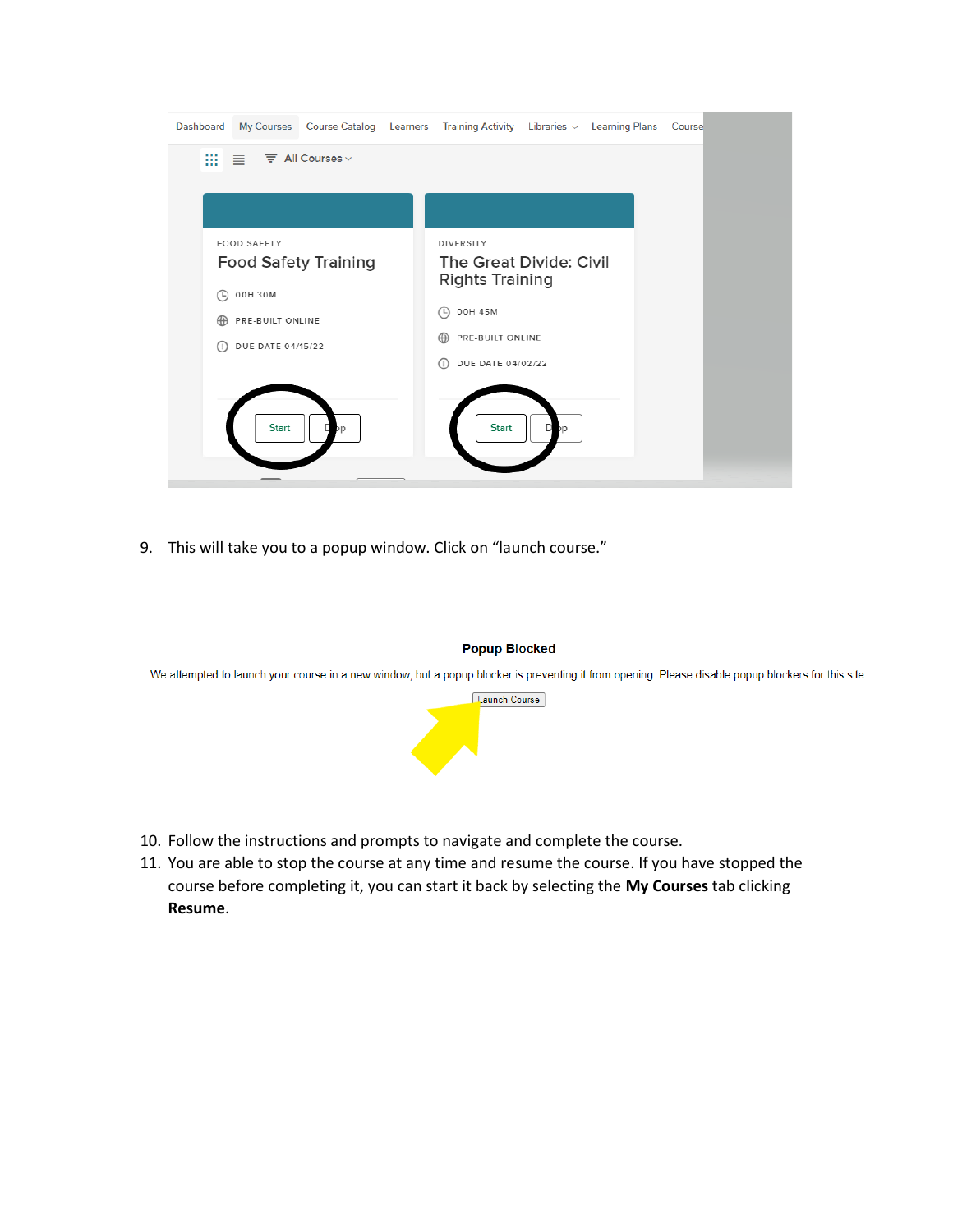

9. This will take you to a popup window. Click on "launch course."



We attempted to launch your course in a new window, but a popup blocker is preventing it from opening. Please disable popup blockers for this site.



- 10. Follow the instructions and prompts to navigate and complete the course.
- 11. You are able to stop the course at any time and resume the course. If you have stopped the course before completing it, you can start it back by selecting the **My Courses** tab clicking **Resume**.